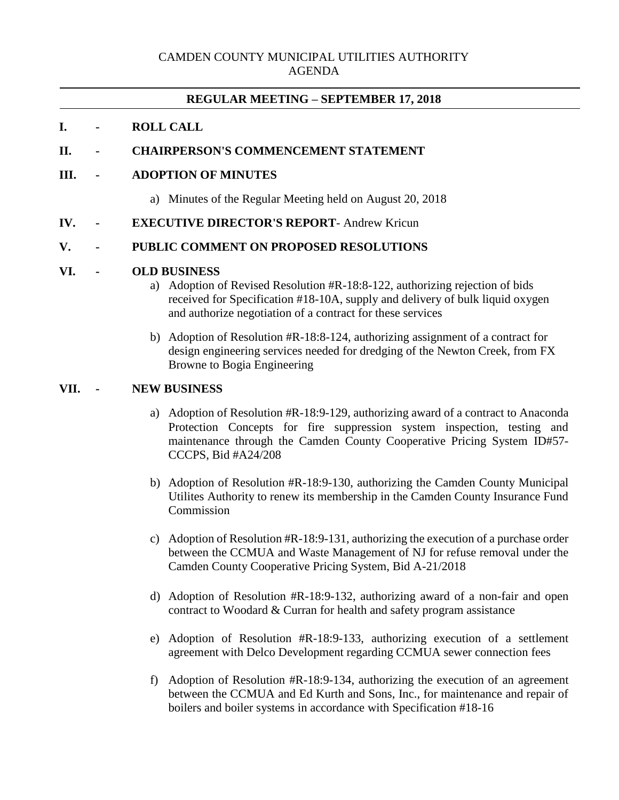# **REGULAR MEETING – SEPTEMBER 17, 2018**

## **I. - ROLL CALL**

# **II. - CHAIRPERSON'S COMMENCEMENT STATEMENT**

## **III. - ADOPTION OF MINUTES**

- a) Minutes of the Regular Meeting held on August 20, 2018
- **IV. - EXECUTIVE DIRECTOR'S REPORT** Andrew Kricun

### **V. - PUBLIC COMMENT ON PROPOSED RESOLUTIONS**

#### **VI. - OLD BUSINESS**

- a) Adoption of Revised Resolution #R-18:8-122, authorizing rejection of bids received for Specification #18-10A, supply and delivery of bulk liquid oxygen and authorize negotiation of a contract for these services
- b) Adoption of Resolution #R-18:8-124, authorizing assignment of a contract for design engineering services needed for dredging of the Newton Creek, from FX Browne to Bogia Engineering

## **VII. - NEW BUSINESS**

- a) Adoption of Resolution #R-18:9-129, authorizing award of a contract to Anaconda Protection Concepts for fire suppression system inspection, testing and maintenance through the Camden County Cooperative Pricing System ID#57- CCCPS, Bid #A24/208
- b) Adoption of Resolution #R-18:9-130, authorizing the Camden County Municipal Utilites Authority to renew its membership in the Camden County Insurance Fund **Commission**
- c) Adoption of Resolution #R-18:9-131, authorizing the execution of a purchase order between the CCMUA and Waste Management of NJ for refuse removal under the Camden County Cooperative Pricing System, Bid A-21/2018
- d) Adoption of Resolution #R-18:9-132, authorizing award of a non-fair and open contract to Woodard & Curran for health and safety program assistance
- e) Adoption of Resolution #R-18:9-133, authorizing execution of a settlement agreement with Delco Development regarding CCMUA sewer connection fees
- f) Adoption of Resolution #R-18:9-134, authorizing the execution of an agreement between the CCMUA and Ed Kurth and Sons, Inc., for maintenance and repair of boilers and boiler systems in accordance with Specification #18-16